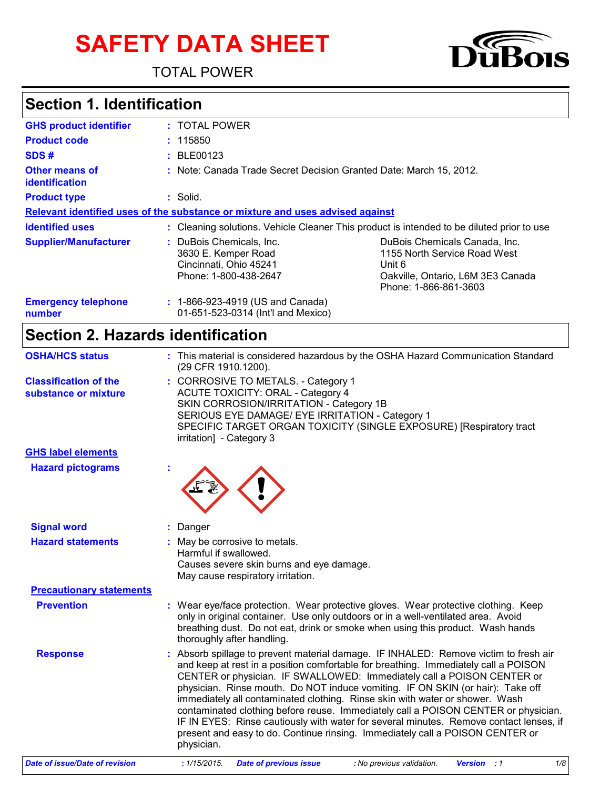# **SAFETY DATA SHEET**

TOTAL POWER



## **Section 1. Identification**

| <b>GHS product identifier</b>        | : TOTAL POWER                                                                                      |                                                                                                                                       |  |  |  |  |  |
|--------------------------------------|----------------------------------------------------------------------------------------------------|---------------------------------------------------------------------------------------------------------------------------------------|--|--|--|--|--|
| <b>Product code</b>                  | : 115850                                                                                           |                                                                                                                                       |  |  |  |  |  |
| SDS#                                 | $\pm$ BLE00123                                                                                     |                                                                                                                                       |  |  |  |  |  |
| Other means of<br>identification     |                                                                                                    | : Note: Canada Trade Secret Decision Granted Date: March 15, 2012.                                                                    |  |  |  |  |  |
| <b>Product type</b>                  | : Solid.                                                                                           |                                                                                                                                       |  |  |  |  |  |
|                                      | Relevant identified uses of the substance or mixture and uses advised against                      |                                                                                                                                       |  |  |  |  |  |
| <b>Identified uses</b>               |                                                                                                    | : Cleaning solutions. Vehicle Cleaner This product is intended to be diluted prior to use                                             |  |  |  |  |  |
| <b>Supplier/Manufacturer</b>         | : DuBois Chemicals, Inc.<br>3630 E. Kemper Road<br>Cincinnati, Ohio 45241<br>Phone: 1-800-438-2647 | DuBois Chemicals Canada, Inc.<br>1155 North Service Road West<br>Unit 6<br>Oakville, Ontario, L6M 3E3 Canada<br>Phone: 1-866-861-3603 |  |  |  |  |  |
| <b>Emergency telephone</b><br>number | : 1-866-923-4919 (US and Canada)<br>01-651-523-0314 (Int'l and Mexico)                             |                                                                                                                                       |  |  |  |  |  |

## **Section 2. Hazards identification**

| <b>OSHA/HCS status</b>                               | : This material is considered hazardous by the OSHA Hazard Communication Standard<br>(29 CFR 1910.1200).                                                                                                                                                                                                                                                                                                                                                                                                                                                                                                                                                                                               |  |  |  |  |
|------------------------------------------------------|--------------------------------------------------------------------------------------------------------------------------------------------------------------------------------------------------------------------------------------------------------------------------------------------------------------------------------------------------------------------------------------------------------------------------------------------------------------------------------------------------------------------------------------------------------------------------------------------------------------------------------------------------------------------------------------------------------|--|--|--|--|
| <b>Classification of the</b><br>substance or mixture | : CORROSIVE TO METALS. - Category 1<br><b>ACUTE TOXICITY: ORAL - Category 4</b><br>SKIN CORROSION/IRRITATION - Category 1B<br>SERIOUS EYE DAMAGE/ EYE IRRITATION - Category 1<br>SPECIFIC TARGET ORGAN TOXICITY (SINGLE EXPOSURE) [Respiratory tract<br>irritation] - Category 3                                                                                                                                                                                                                                                                                                                                                                                                                       |  |  |  |  |
| <b>GHS label elements</b>                            |                                                                                                                                                                                                                                                                                                                                                                                                                                                                                                                                                                                                                                                                                                        |  |  |  |  |
| <b>Hazard pictograms</b>                             |                                                                                                                                                                                                                                                                                                                                                                                                                                                                                                                                                                                                                                                                                                        |  |  |  |  |
| <b>Signal word</b>                                   | : Danger                                                                                                                                                                                                                                                                                                                                                                                                                                                                                                                                                                                                                                                                                               |  |  |  |  |
| <b>Hazard statements</b>                             | : May be corrosive to metals.<br>Harmful if swallowed.<br>Causes severe skin burns and eye damage.<br>May cause respiratory irritation.                                                                                                                                                                                                                                                                                                                                                                                                                                                                                                                                                                |  |  |  |  |
| <b>Precautionary statements</b>                      |                                                                                                                                                                                                                                                                                                                                                                                                                                                                                                                                                                                                                                                                                                        |  |  |  |  |
| <b>Prevention</b>                                    | : Wear eye/face protection. Wear protective gloves. Wear protective clothing. Keep<br>only in original container. Use only outdoors or in a well-ventilated area. Avoid<br>breathing dust. Do not eat, drink or smoke when using this product. Wash hands<br>thoroughly after handling.                                                                                                                                                                                                                                                                                                                                                                                                                |  |  |  |  |
| <b>Response</b>                                      | : Absorb spillage to prevent material damage. IF INHALED: Remove victim to fresh air<br>and keep at rest in a position comfortable for breathing. Immediately call a POISON<br>CENTER or physician. IF SWALLOWED: Immediately call a POISON CENTER or<br>physician. Rinse mouth. Do NOT induce vomiting. IF ON SKIN (or hair): Take off<br>immediately all contaminated clothing. Rinse skin with water or shower. Wash<br>contaminated clothing before reuse. Immediately call a POISON CENTER or physician.<br>IF IN EYES: Rinse cautiously with water for several minutes. Remove contact lenses, if<br>present and easy to do. Continue rinsing. Immediately call a POISON CENTER or<br>physician. |  |  |  |  |
| <b>Date of issue/Date of revision</b>                | 1/8<br><b>Date of previous issue</b><br>: 1/15/2015.<br>: No previous validation.<br><b>Version</b> : 1                                                                                                                                                                                                                                                                                                                                                                                                                                                                                                                                                                                                |  |  |  |  |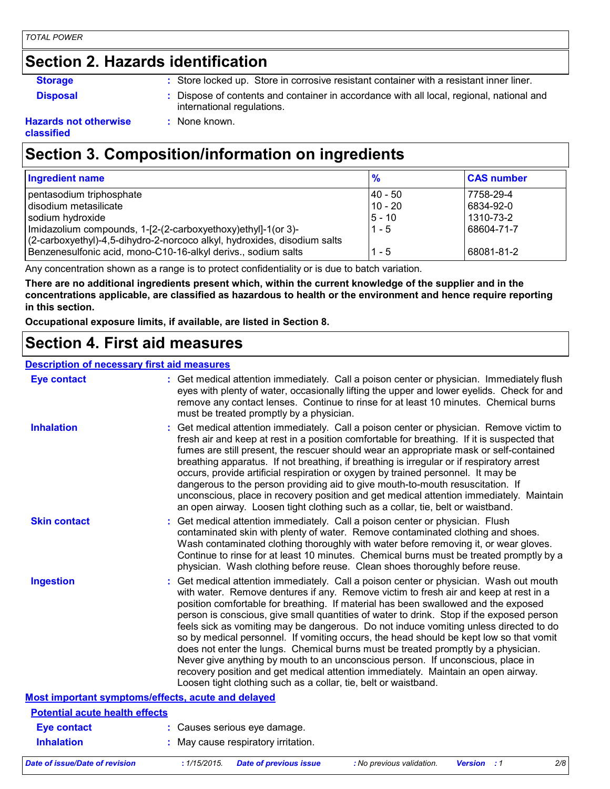#### **Section 2. Hazards identification**

- 
- **Storage <b>:** Store locked up. Store in corrosive resistant container with a resistant inner liner.
- **Disposal :** Dispose of contents and container in accordance with all local, regional, national and international regulations.

#### **Hazards not otherwise classified**

## **Section 3. Composition/information on ingredients**

**:** None known.

| Ingredient name                                                          | $\frac{9}{6}$ | <b>CAS number</b> |
|--------------------------------------------------------------------------|---------------|-------------------|
| pentasodium triphosphate                                                 | I40 - 50      | 7758-29-4         |
| disodium metasilicate                                                    | $10 - 20$     | 6834-92-0         |
| sodium hydroxide                                                         | $5 - 10$      | 1310-73-2         |
| Imidazolium compounds, 1-[2-(2-carboxyethoxy)ethyl]-1(or 3)-             | $1 - 5$       | 68604-71-7        |
| (2-carboxyethyl)-4,5-dihydro-2-norcoco alkyl, hydroxides, disodium salts |               |                   |
| Benzenesulfonic acid, mono-C10-16-alkyl derivs., sodium salts            | $1 - 5$       | 68081-81-2        |

Any concentration shown as a range is to protect confidentiality or is due to batch variation.

**There are no additional ingredients present which, within the current knowledge of the supplier and in the concentrations applicable, are classified as hazardous to health or the environment and hence require reporting in this section.**

**Occupational exposure limits, if available, are listed in Section 8.**

#### **Section 4. First aid measures**

#### **Description of necessary first aid measures**

| <b>Eye contact</b>                                        | : Get medical attention immediately. Call a poison center or physician. Immediately flush<br>eyes with plenty of water, occasionally lifting the upper and lower eyelids. Check for and<br>remove any contact lenses. Continue to rinse for at least 10 minutes. Chemical burns<br>must be treated promptly by a physician.                                                                                                                                                                                                                                                                                                                                                                                                                                                                                                                                                         |
|-----------------------------------------------------------|-------------------------------------------------------------------------------------------------------------------------------------------------------------------------------------------------------------------------------------------------------------------------------------------------------------------------------------------------------------------------------------------------------------------------------------------------------------------------------------------------------------------------------------------------------------------------------------------------------------------------------------------------------------------------------------------------------------------------------------------------------------------------------------------------------------------------------------------------------------------------------------|
| <b>Inhalation</b>                                         | : Get medical attention immediately. Call a poison center or physician. Remove victim to<br>fresh air and keep at rest in a position comfortable for breathing. If it is suspected that<br>fumes are still present, the rescuer should wear an appropriate mask or self-contained<br>breathing apparatus. If not breathing, if breathing is irregular or if respiratory arrest<br>occurs, provide artificial respiration or oxygen by trained personnel. It may be<br>dangerous to the person providing aid to give mouth-to-mouth resuscitation. If<br>unconscious, place in recovery position and get medical attention immediately. Maintain<br>an open airway. Loosen tight clothing such as a collar, tie, belt or waistband.                                                                                                                                                  |
| <b>Skin contact</b>                                       | : Get medical attention immediately. Call a poison center or physician. Flush<br>contaminated skin with plenty of water. Remove contaminated clothing and shoes.<br>Wash contaminated clothing thoroughly with water before removing it, or wear gloves.<br>Continue to rinse for at least 10 minutes. Chemical burns must be treated promptly by a<br>physician. Wash clothing before reuse. Clean shoes thoroughly before reuse.                                                                                                                                                                                                                                                                                                                                                                                                                                                  |
| <b>Ingestion</b>                                          | : Get medical attention immediately. Call a poison center or physician. Wash out mouth<br>with water. Remove dentures if any. Remove victim to fresh air and keep at rest in a<br>position comfortable for breathing. If material has been swallowed and the exposed<br>person is conscious, give small quantities of water to drink. Stop if the exposed person<br>feels sick as vomiting may be dangerous. Do not induce vomiting unless directed to do<br>so by medical personnel. If vomiting occurs, the head should be kept low so that vomit<br>does not enter the lungs. Chemical burns must be treated promptly by a physician.<br>Never give anything by mouth to an unconscious person. If unconscious, place in<br>recovery position and get medical attention immediately. Maintain an open airway.<br>Loosen tight clothing such as a collar, tie, belt or waistband. |
| <b>Most important symptoms/effects, acute and delayed</b> |                                                                                                                                                                                                                                                                                                                                                                                                                                                                                                                                                                                                                                                                                                                                                                                                                                                                                     |
| <b>Potential acute health effects</b>                     |                                                                                                                                                                                                                                                                                                                                                                                                                                                                                                                                                                                                                                                                                                                                                                                                                                                                                     |
| <b>Eye contact</b>                                        | : Causes serious eye damage.                                                                                                                                                                                                                                                                                                                                                                                                                                                                                                                                                                                                                                                                                                                                                                                                                                                        |
| <b>Inhalation</b>                                         | : May cause respiratory irritation.                                                                                                                                                                                                                                                                                                                                                                                                                                                                                                                                                                                                                                                                                                                                                                                                                                                 |
| <b>Date of issue/Date of revision</b>                     | 2/8<br>: 1/15/2015.<br><b>Date of previous issue</b><br>: No previous validation.<br><b>Version</b> : 1                                                                                                                                                                                                                                                                                                                                                                                                                                                                                                                                                                                                                                                                                                                                                                             |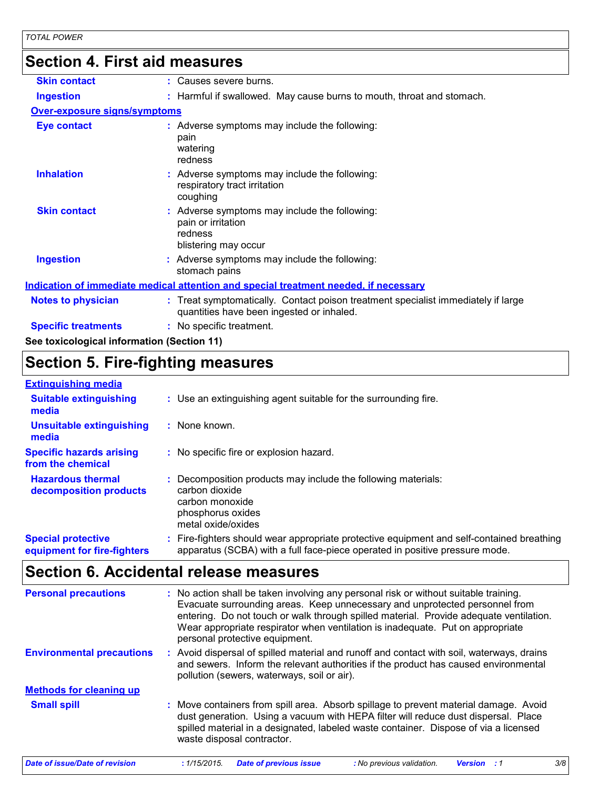## **Section 4. First aid measures**

| <b>Skin contact</b><br>: Causes severe burns.<br>: Harmful if swallowed. May cause burns to mouth, throat and stomach.<br><b>Ingestion</b><br><b>Over-exposure signs/symptoms</b><br>: Adverse symptoms may include the following:<br><b>Eye contact</b><br>pain<br>watering<br>redness<br><b>Inhalation</b><br>: Adverse symptoms may include the following:<br>respiratory tract irritation<br>coughing<br><b>Skin contact</b><br>: Adverse symptoms may include the following:<br>pain or irritation<br>redness<br>blistering may occur<br><b>Ingestion</b><br>: Adverse symptoms may include the following:<br>stomach pains<br>Indication of immediate medical attention and special treatment needed, if necessary<br>: Treat symptomatically. Contact poison treatment specialist immediately if large<br>Notes to physician<br>quantities have been ingested or inhaled.<br><b>Specific treatments</b><br>: No specific treatment.<br>See toxicological information (Section 11) |  |
|------------------------------------------------------------------------------------------------------------------------------------------------------------------------------------------------------------------------------------------------------------------------------------------------------------------------------------------------------------------------------------------------------------------------------------------------------------------------------------------------------------------------------------------------------------------------------------------------------------------------------------------------------------------------------------------------------------------------------------------------------------------------------------------------------------------------------------------------------------------------------------------------------------------------------------------------------------------------------------------|--|
|                                                                                                                                                                                                                                                                                                                                                                                                                                                                                                                                                                                                                                                                                                                                                                                                                                                                                                                                                                                          |  |
|                                                                                                                                                                                                                                                                                                                                                                                                                                                                                                                                                                                                                                                                                                                                                                                                                                                                                                                                                                                          |  |
|                                                                                                                                                                                                                                                                                                                                                                                                                                                                                                                                                                                                                                                                                                                                                                                                                                                                                                                                                                                          |  |
|                                                                                                                                                                                                                                                                                                                                                                                                                                                                                                                                                                                                                                                                                                                                                                                                                                                                                                                                                                                          |  |
|                                                                                                                                                                                                                                                                                                                                                                                                                                                                                                                                                                                                                                                                                                                                                                                                                                                                                                                                                                                          |  |
|                                                                                                                                                                                                                                                                                                                                                                                                                                                                                                                                                                                                                                                                                                                                                                                                                                                                                                                                                                                          |  |
|                                                                                                                                                                                                                                                                                                                                                                                                                                                                                                                                                                                                                                                                                                                                                                                                                                                                                                                                                                                          |  |
|                                                                                                                                                                                                                                                                                                                                                                                                                                                                                                                                                                                                                                                                                                                                                                                                                                                                                                                                                                                          |  |
|                                                                                                                                                                                                                                                                                                                                                                                                                                                                                                                                                                                                                                                                                                                                                                                                                                                                                                                                                                                          |  |
|                                                                                                                                                                                                                                                                                                                                                                                                                                                                                                                                                                                                                                                                                                                                                                                                                                                                                                                                                                                          |  |
|                                                                                                                                                                                                                                                                                                                                                                                                                                                                                                                                                                                                                                                                                                                                                                                                                                                                                                                                                                                          |  |

### **Section 5. Fire-fighting measures**

#### **Extinguishing media**

| <b>Suitable extinguishing</b><br>media                   | : Use an extinguishing agent suitable for the surrounding fire.                                                                                                        |
|----------------------------------------------------------|------------------------------------------------------------------------------------------------------------------------------------------------------------------------|
| <b>Unsuitable extinguishing</b><br>media                 | : None known.                                                                                                                                                          |
| <b>Specific hazards arising</b><br>from the chemical     | : No specific fire or explosion hazard.                                                                                                                                |
| <b>Hazardous thermal</b><br>decomposition products       | Decomposition products may include the following materials:<br>carbon dioxide<br>carbon monoxide<br>phosphorus oxides<br>metal oxide/oxides                            |
| <b>Special protective</b><br>equipment for fire-fighters | Fire-fighters should wear appropriate protective equipment and self-contained breathing<br>apparatus (SCBA) with a full face-piece operated in positive pressure mode. |

#### **Section 6. Accidental release measures**

| <b>Personal precautions</b>      | : No action shall be taken involving any personal risk or without suitable training.<br>Evacuate surrounding areas. Keep unnecessary and unprotected personnel from<br>entering. Do not touch or walk through spilled material. Provide adequate ventilation.<br>Wear appropriate respirator when ventilation is inadequate. Put on appropriate<br>personal protective equipment. |  |  |  |  |  |  |
|----------------------------------|-----------------------------------------------------------------------------------------------------------------------------------------------------------------------------------------------------------------------------------------------------------------------------------------------------------------------------------------------------------------------------------|--|--|--|--|--|--|
| <b>Environmental precautions</b> | : Avoid dispersal of spilled material and runoff and contact with soil, waterways, drains<br>and sewers. Inform the relevant authorities if the product has caused environmental<br>pollution (sewers, waterways, soil or air).                                                                                                                                                   |  |  |  |  |  |  |
| <b>Methods for cleaning up</b>   |                                                                                                                                                                                                                                                                                                                                                                                   |  |  |  |  |  |  |
| <b>Small spill</b>               | : Move containers from spill area. Absorb spillage to prevent material damage. Avoid<br>dust generation. Using a vacuum with HEPA filter will reduce dust dispersal. Place<br>spilled material in a designated, labeled waste container. Dispose of via a licensed<br>waste disposal contractor.                                                                                  |  |  |  |  |  |  |
| Date of issue/Date of revision   | 3/8<br><b>Date of previous issue</b><br>: 1/15/2015.<br>: No previous validation.<br><b>Version</b> : 1                                                                                                                                                                                                                                                                           |  |  |  |  |  |  |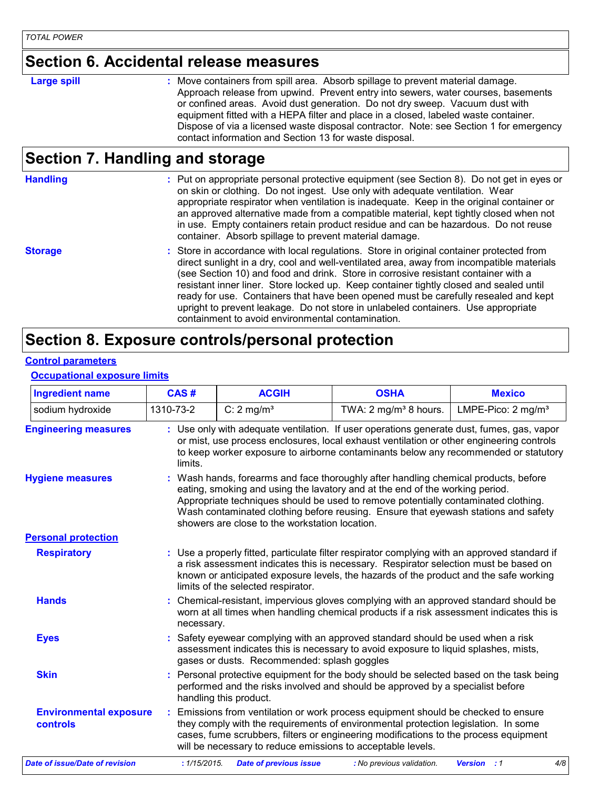#### **Section 6. Accidental release measures**

#### **Large spill :**

Move containers from spill area. Absorb spillage to prevent material damage. Approach release from upwind. Prevent entry into sewers, water courses, basements or confined areas. Avoid dust generation. Do not dry sweep. Vacuum dust with equipment fitted with a HEPA filter and place in a closed, labeled waste container. Dispose of via a licensed waste disposal contractor. Note: see Section 1 for emergency contact information and Section 13 for waste disposal.

#### **Section 7. Handling and storage**

| <b>Handling</b> | : Put on appropriate personal protective equipment (see Section 8). Do not get in eyes or<br>on skin or clothing. Do not ingest. Use only with adequate ventilation. Wear<br>appropriate respirator when ventilation is inadequate. Keep in the original container or<br>an approved alternative made from a compatible material, kept tightly closed when not<br>in use. Empty containers retain product residue and can be hazardous. Do not reuse<br>container. Absorb spillage to prevent material damage.                                                                                         |
|-----------------|--------------------------------------------------------------------------------------------------------------------------------------------------------------------------------------------------------------------------------------------------------------------------------------------------------------------------------------------------------------------------------------------------------------------------------------------------------------------------------------------------------------------------------------------------------------------------------------------------------|
| <b>Storage</b>  | : Store in accordance with local regulations. Store in original container protected from<br>direct sunlight in a dry, cool and well-ventilated area, away from incompatible materials<br>(see Section 10) and food and drink. Store in corrosive resistant container with a<br>resistant inner liner. Store locked up. Keep container tightly closed and sealed until<br>ready for use. Containers that have been opened must be carefully resealed and kept<br>upright to prevent leakage. Do not store in unlabeled containers. Use appropriate<br>containment to avoid environmental contamination. |

#### **Section 8. Exposure controls/personal protection**

#### **Control parameters**

#### **Occupational exposure limits**

| <b>Ingredient name</b>                    | CAS#         | <b>ACGIH</b>                                                                                                                                                                                                                                                                                                                                                                                    | <b>OSHA</b>                      | <b>Mexico</b>                  |  |  |  |  |
|-------------------------------------------|--------------|-------------------------------------------------------------------------------------------------------------------------------------------------------------------------------------------------------------------------------------------------------------------------------------------------------------------------------------------------------------------------------------------------|----------------------------------|--------------------------------|--|--|--|--|
| sodium hydroxide                          | 1310-73-2    | C: $2 \text{ mg/m}^3$                                                                                                                                                                                                                                                                                                                                                                           | TWA: $2 \text{ mg/m}^3$ 8 hours. | LMPE-Pico: 2 mg/m <sup>3</sup> |  |  |  |  |
| <b>Engineering measures</b>               | limits.      | : Use only with adequate ventilation. If user operations generate dust, fumes, gas, vapor<br>or mist, use process enclosures, local exhaust ventilation or other engineering controls<br>to keep worker exposure to airborne contaminants below any recommended or statutory                                                                                                                    |                                  |                                |  |  |  |  |
| <b>Hygiene measures</b>                   |              | Wash hands, forearms and face thoroughly after handling chemical products, before<br>eating, smoking and using the lavatory and at the end of the working period.<br>Appropriate techniques should be used to remove potentially contaminated clothing.<br>Wash contaminated clothing before reusing. Ensure that eyewash stations and safety<br>showers are close to the workstation location. |                                  |                                |  |  |  |  |
| <b>Personal protection</b>                |              |                                                                                                                                                                                                                                                                                                                                                                                                 |                                  |                                |  |  |  |  |
| <b>Respiratory</b>                        |              | : Use a properly fitted, particulate filter respirator complying with an approved standard if<br>a risk assessment indicates this is necessary. Respirator selection must be based on<br>known or anticipated exposure levels, the hazards of the product and the safe working<br>limits of the selected respirator.                                                                            |                                  |                                |  |  |  |  |
| <b>Hands</b>                              |              | Chemical-resistant, impervious gloves complying with an approved standard should be<br>worn at all times when handling chemical products if a risk assessment indicates this is<br>necessary.                                                                                                                                                                                                   |                                  |                                |  |  |  |  |
| <b>Eyes</b>                               |              | Safety eyewear complying with an approved standard should be used when a risk<br>assessment indicates this is necessary to avoid exposure to liquid splashes, mists,<br>gases or dusts. Recommended: splash goggles                                                                                                                                                                             |                                  |                                |  |  |  |  |
| <b>Skin</b>                               |              | Personal protective equipment for the body should be selected based on the task being<br>performed and the risks involved and should be approved by a specialist before<br>handling this product.                                                                                                                                                                                               |                                  |                                |  |  |  |  |
| <b>Environmental exposure</b><br>controls |              | Emissions from ventilation or work process equipment should be checked to ensure<br>they comply with the requirements of environmental protection legislation. In some<br>cases, fume scrubbers, filters or engineering modifications to the process equipment<br>will be necessary to reduce emissions to acceptable levels.                                                                   |                                  |                                |  |  |  |  |
| <b>Date of issue/Date of revision</b>     | : 1/15/2015. | <b>Date of previous issue</b>                                                                                                                                                                                                                                                                                                                                                                   | : No previous validation.        | 4/8<br><b>Version</b> : 1      |  |  |  |  |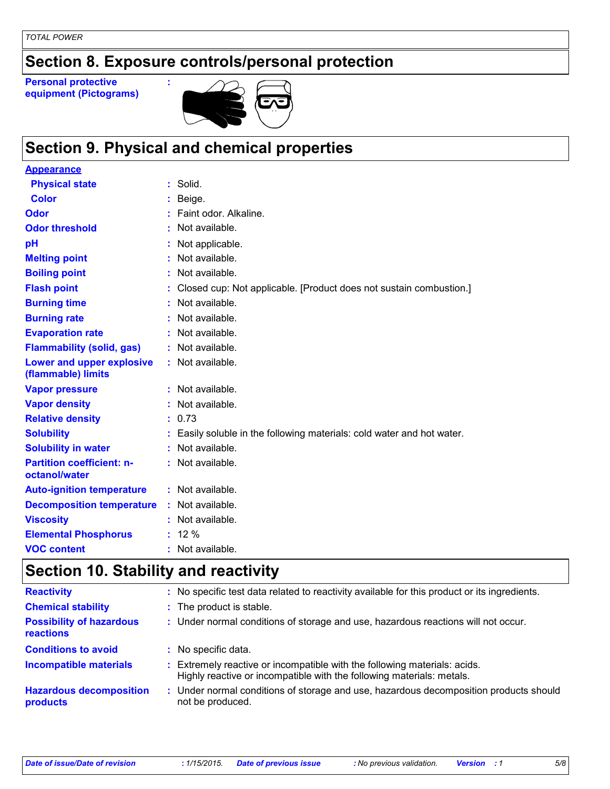## **Section 8. Exposure controls/personal protection**

**Personal protective equipment (Pictograms)**



## **Section 9. Physical and chemical properties**

**:**

| <b>Appearance</b>                                 |                                                                      |
|---------------------------------------------------|----------------------------------------------------------------------|
| <b>Physical state</b>                             | $:$ Solid.                                                           |
| Color                                             | Beige.                                                               |
| <b>Odor</b>                                       | Faint odor, Alkaline.                                                |
| <b>Odor threshold</b>                             | Not available.                                                       |
| pH                                                | Not applicable.                                                      |
| <b>Melting point</b>                              | Not available.                                                       |
| <b>Boiling point</b>                              | Not available.                                                       |
| <b>Flash point</b>                                | Closed cup: Not applicable. [Product does not sustain combustion.]   |
| <b>Burning time</b>                               | Not available.                                                       |
| <b>Burning rate</b>                               | Not available.                                                       |
| <b>Evaporation rate</b>                           | Not available.                                                       |
| <b>Flammability (solid, gas)</b>                  | : Not available.                                                     |
| Lower and upper explosive<br>(flammable) limits   | : Not available.                                                     |
| <b>Vapor pressure</b>                             | : Not available.                                                     |
| <b>Vapor density</b>                              | Not available.                                                       |
| <b>Relative density</b>                           | : 0.73                                                               |
| <b>Solubility</b>                                 | Easily soluble in the following materials: cold water and hot water. |
| <b>Solubility in water</b>                        | Not available.                                                       |
| <b>Partition coefficient: n-</b><br>octanol/water | : Not available.                                                     |
| <b>Auto-ignition temperature</b>                  | : Not available.                                                     |
| <b>Decomposition temperature</b>                  | : Not available.                                                     |
| <b>Viscosity</b>                                  | Not available.                                                       |
| <b>Elemental Phosphorus</b>                       | $: 12 \%$                                                            |
| <b>VOC content</b>                                | $:$ Not available.                                                   |

## **Section 10. Stability and reactivity**

| <b>Reactivity</b>                                   | : No specific test data related to reactivity available for this product or its ingredients.                                                     |
|-----------------------------------------------------|--------------------------------------------------------------------------------------------------------------------------------------------------|
| <b>Chemical stability</b>                           | : The product is stable.                                                                                                                         |
| <b>Possibility of hazardous</b><br><b>reactions</b> | : Under normal conditions of storage and use, hazardous reactions will not occur.                                                                |
| <b>Conditions to avoid</b>                          | : No specific data.                                                                                                                              |
| <b>Incompatible materials</b>                       | Extremely reactive or incompatible with the following materials: acids.<br>Highly reactive or incompatible with the following materials: metals. |
| <b>Hazardous decomposition</b><br>products          | : Under normal conditions of storage and use, hazardous decomposition products should<br>not be produced.                                        |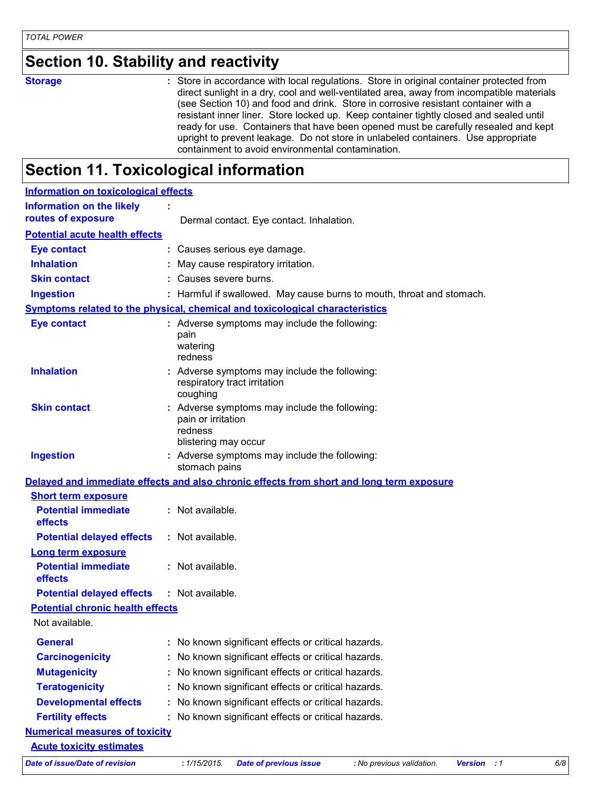### **Section 10. Stability and reactivity**

**Storage <b>Storage 1988** : Store in accordance with local regulations. Store in original container protected from direct sunlight in a dry, cool and well-ventilated area, away from incompatible materials (see Section 10) and food and drink. Store in corrosive resistant container with a resistant inner liner. Store locked up. Keep container tightly closed and sealed until ready for use. Containers that have been opened must be carefully resealed and kept upright to prevent leakage. Do not store in unlabeled containers. Use appropriate containment to avoid environmental contamination.

#### **Section 11. Toxicological information**

| <b>Information on toxicological effects</b>                                              |                                                       |                                                                               |                           |                    |     |
|------------------------------------------------------------------------------------------|-------------------------------------------------------|-------------------------------------------------------------------------------|---------------------------|--------------------|-----|
| <b>Information on the likely</b>                                                         |                                                       |                                                                               |                           |                    |     |
| routes of exposure                                                                       |                                                       | Dermal contact. Eye contact. Inhalation.                                      |                           |                    |     |
| <b>Potential acute health effects</b>                                                    |                                                       |                                                                               |                           |                    |     |
| <b>Eye contact</b>                                                                       |                                                       | : Causes serious eye damage.                                                  |                           |                    |     |
| <b>Inhalation</b>                                                                        |                                                       | : May cause respiratory irritation.                                           |                           |                    |     |
| <b>Skin contact</b>                                                                      | : Causes severe burns.                                |                                                                               |                           |                    |     |
| <b>Ingestion</b>                                                                         |                                                       | : Harmful if swallowed. May cause burns to mouth, throat and stomach.         |                           |                    |     |
| Symptoms related to the physical, chemical and toxicological characteristics             |                                                       |                                                                               |                           |                    |     |
| <b>Eye contact</b>                                                                       | pain<br>watering<br>redness                           | : Adverse symptoms may include the following:                                 |                           |                    |     |
| <b>Inhalation</b>                                                                        | coughing                                              | : Adverse symptoms may include the following:<br>respiratory tract irritation |                           |                    |     |
| <b>Skin contact</b>                                                                      | pain or irritation<br>redness<br>blistering may occur | : Adverse symptoms may include the following:                                 |                           |                    |     |
| <b>Ingestion</b>                                                                         | stomach pains                                         | : Adverse symptoms may include the following:                                 |                           |                    |     |
| Delayed and immediate effects and also chronic effects from short and long term exposure |                                                       |                                                                               |                           |                    |     |
| <b>Short term exposure</b>                                                               |                                                       |                                                                               |                           |                    |     |
| <b>Potential immediate</b><br>effects                                                    | : Not available.                                      |                                                                               |                           |                    |     |
| <b>Potential delayed effects</b>                                                         | : Not available.                                      |                                                                               |                           |                    |     |
| <b>Long term exposure</b>                                                                |                                                       |                                                                               |                           |                    |     |
| <b>Potential immediate</b><br>effects                                                    | : Not available.                                      |                                                                               |                           |                    |     |
| <b>Potential delayed effects</b>                                                         | : Not available.                                      |                                                                               |                           |                    |     |
| <b>Potential chronic health effects</b>                                                  |                                                       |                                                                               |                           |                    |     |
| Not available.                                                                           |                                                       |                                                                               |                           |                    |     |
| <b>General</b>                                                                           |                                                       | No known significant effects or critical hazards.                             |                           |                    |     |
| <b>Carcinogenicity</b>                                                                   |                                                       | No known significant effects or critical hazards.                             |                           |                    |     |
| <b>Mutagenicity</b>                                                                      |                                                       | No known significant effects or critical hazards.                             |                           |                    |     |
| <b>Teratogenicity</b>                                                                    |                                                       | No known significant effects or critical hazards.                             |                           |                    |     |
| <b>Developmental effects</b>                                                             |                                                       | No known significant effects or critical hazards.                             |                           |                    |     |
| <b>Fertility effects</b>                                                                 |                                                       | No known significant effects or critical hazards.                             |                           |                    |     |
| <b>Numerical measures of toxicity</b>                                                    |                                                       |                                                                               |                           |                    |     |
| <b>Acute toxicity estimates</b>                                                          |                                                       |                                                                               |                           |                    |     |
| <b>Date of issue/Date of revision</b>                                                    | : 1/15/2015.                                          | <b>Date of previous issue</b>                                                 | : No previous validation. | <b>Version</b> : 1 | 6/8 |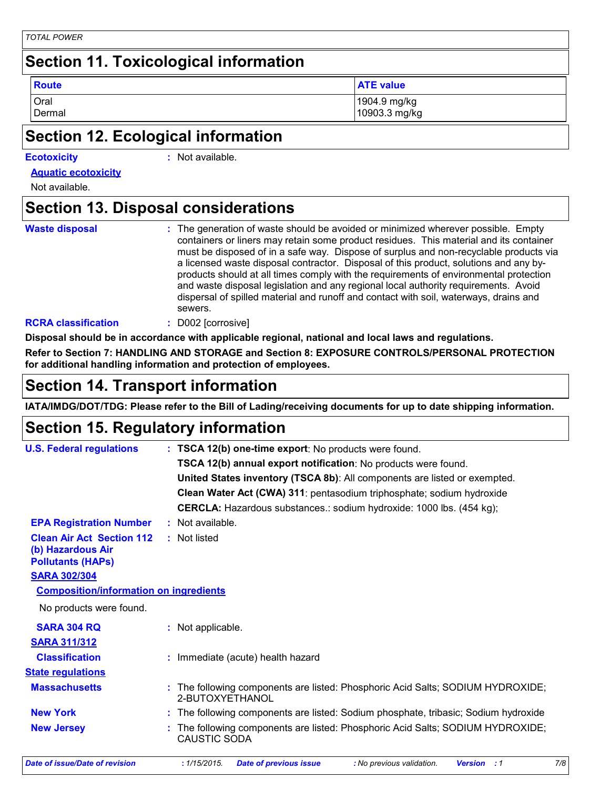## **Section 11. Toxicological information**

Oral 1904.9 mg/kg **Route ATE value ATE value** 

Dermal 10903.3 mg/kg

## **Section 12. Ecological information**

#### **Ecotoxicity :**

: Not available.

**Aquatic ecotoxicity**

Not available.

## **Section 13. Disposal considerations**

**Waste disposal :**

The generation of waste should be avoided or minimized wherever possible. Empty containers or liners may retain some product residues. This material and its container must be disposed of in a safe way. Dispose of surplus and non-recyclable products via a licensed waste disposal contractor. Disposal of this product, solutions and any byproducts should at all times comply with the requirements of environmental protection and waste disposal legislation and any regional local authority requirements. Avoid dispersal of spilled material and runoff and contact with soil, waterways, drains and sewers.

#### **RCRA classification :** D002 [corrosive]

**Disposal should be in accordance with applicable regional, national and local laws and regulations.**

**Refer to Section 7: HANDLING AND STORAGE and Section 8: EXPOSURE CONTROLS/PERSONAL PROTECTION for additional handling information and protection of employees.**

### **Section 14. Transport information**

**IATA/IMDG/DOT/TDG: Please refer to the Bill of Lading/receiving documents for up to date shipping information.**

## **Section 15. Regulatory information**

| <b>U.S. Federal regulations</b>                                                   |  | : TSCA 12(b) one-time export: No products were found.                                                   |  |  |  |  |
|-----------------------------------------------------------------------------------|--|---------------------------------------------------------------------------------------------------------|--|--|--|--|
|                                                                                   |  | TSCA 12(b) annual export notification: No products were found.                                          |  |  |  |  |
|                                                                                   |  | United States inventory (TSCA 8b): All components are listed or exempted.                               |  |  |  |  |
|                                                                                   |  | Clean Water Act (CWA) 311: pentasodium triphosphate; sodium hydroxide                                   |  |  |  |  |
|                                                                                   |  | <b>CERCLA:</b> Hazardous substances.: sodium hydroxide: 1000 lbs. (454 kg);                             |  |  |  |  |
| <b>EPA Registration Number</b>                                                    |  | : Not available.                                                                                        |  |  |  |  |
| <b>Clean Air Act Section 112</b><br>(b) Hazardous Air<br><b>Pollutants (HAPS)</b> |  | : Not listed                                                                                            |  |  |  |  |
| <b>SARA 302/304</b>                                                               |  |                                                                                                         |  |  |  |  |
| <b>Composition/information on ingredients</b>                                     |  |                                                                                                         |  |  |  |  |
| No products were found.                                                           |  |                                                                                                         |  |  |  |  |
| <b>SARA 304 RQ</b>                                                                |  | : Not applicable.                                                                                       |  |  |  |  |
| <b>SARA 311/312</b>                                                               |  |                                                                                                         |  |  |  |  |
| <b>Classification</b>                                                             |  | : Immediate (acute) health hazard                                                                       |  |  |  |  |
| <b>State requlations</b>                                                          |  |                                                                                                         |  |  |  |  |
| <b>Massachusetts</b>                                                              |  | The following components are listed: Phosphoric Acid Salts; SODIUM HYDROXIDE;<br>2-BUTOXYETHANOL        |  |  |  |  |
| <b>New York</b>                                                                   |  | : The following components are listed: Sodium phosphate, tribasic; Sodium hydroxide                     |  |  |  |  |
| <b>New Jersey</b>                                                                 |  | : The following components are listed: Phosphoric Acid Salts; SODIUM HYDROXIDE;<br>CAUSTIC SODA         |  |  |  |  |
| <b>Date of issue/Date of revision</b>                                             |  | 7/8<br>: 1/15/2015.<br><b>Date of previous issue</b><br>: No previous validation.<br><b>Version</b> : 1 |  |  |  |  |